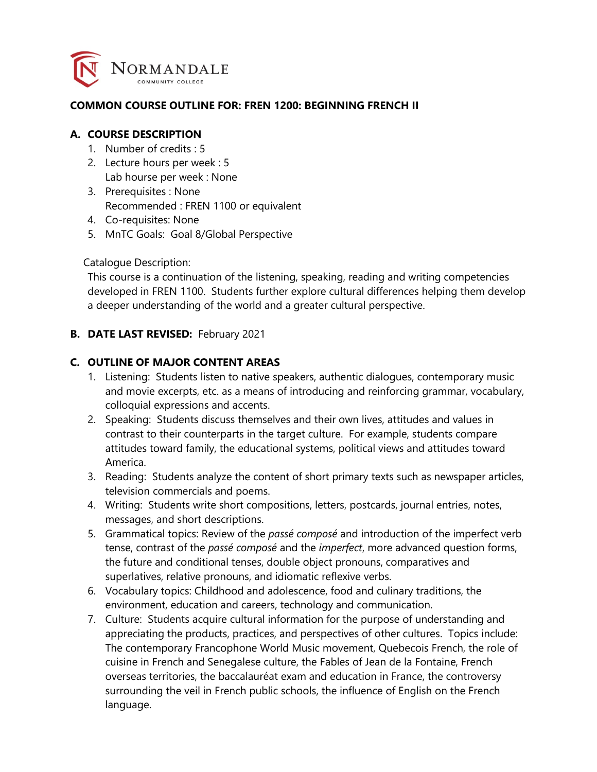

#### **COMMON COURSE OUTLINE FOR: FREN 1200: BEGINNING FRENCH II**

#### **A. COURSE DESCRIPTION**

- 1. Number of credits : 5
- 2. Lecture hours per week : 5 Lab hourse per week : None
- 3. Prerequisites : None Recommended : FREN 1100 or equivalent
- 4. Co-requisites: None
- 5. MnTC Goals: Goal 8/Global Perspective

Catalogue Description:

This course is a continuation of the listening, speaking, reading and writing competencies developed in FREN 1100. Students further explore cultural differences helping them develop a deeper understanding of the world and a greater cultural perspective.

#### **B. DATE LAST REVISED:** February 2021

#### **C. OUTLINE OF MAJOR CONTENT AREAS**

- 1. Listening: Students listen to native speakers, authentic dialogues, contemporary music and movie excerpts, etc. as a means of introducing and reinforcing grammar, vocabulary, colloquial expressions and accents.
- 2. Speaking: Students discuss themselves and their own lives, attitudes and values in contrast to their counterparts in the target culture. For example, students compare attitudes toward family, the educational systems, political views and attitudes toward America.
- 3. Reading: Students analyze the content of short primary texts such as newspaper articles, television commercials and poems.
- 4. Writing: Students write short compositions, letters, postcards, journal entries, notes, messages, and short descriptions.
- 5. Grammatical topics: Review of the *passé composé* and introduction of the imperfect verb tense, contrast of the *passé composé* and the *imperfect*, more advanced question forms, the future and conditional tenses, double object pronouns, comparatives and superlatives, relative pronouns, and idiomatic reflexive verbs.
- 6. Vocabulary topics: Childhood and adolescence, food and culinary traditions, the environment, education and careers, technology and communication.
- 7. Culture: Students acquire cultural information for the purpose of understanding and appreciating the products, practices, and perspectives of other cultures. Topics include: The contemporary Francophone World Music movement, Quebecois French, the role of cuisine in French and Senegalese culture, the Fables of Jean de la Fontaine, French overseas territories, the baccalauréat exam and education in France, the controversy surrounding the veil in French public schools, the influence of English on the French language.